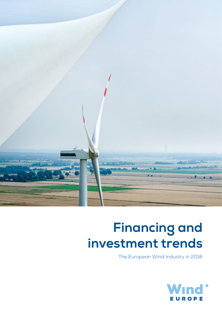

# **Financing and investment trends**

The European Wind Industry in 2016

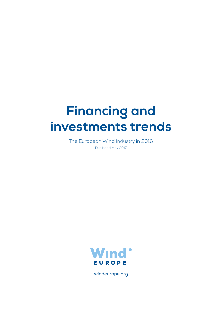# **Financing and investments trends**

The European Wind Industry in 2016 Published May 2017



windeurope.org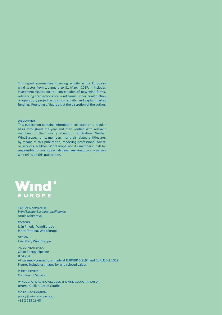This report summarises financing activity in the European wind sector from 1 January to 31 March 2017. It includes investment figures for the construction of new wind farms, refinancing transactions for wind farms under construction or operation, project acquisition activity, and capital market funding. Rounding of figures is at the discretion of the author.

#### **DISCLAIMER:**

This publication contains information collected on a regular basis throughout the year and then verified with relevant members of the industry ahead of publication. Neither WindEurope, nor its members, nor their related entities are, by means of this publication, rendering professional advice or services. Neither WindEurope nor its members shall be responsible for any loss whatsoever sustained by any person who relies on this publication.



**TEXT AND ANALYSIS:** *WindEurope Business Intelligence* Ariola Mbistrova

**EDITORS**: Iván Pineda, WindEurope Pierre Tardieu, WindEurope

**DESIGN**: Laia Miró, WindEurope

INVESTMENT DATA: Clean Energy Pipeline IJ Global All currency conversions made at EURGBP 0.8194 and EURUSD 1.1069 Figures include estimates for undisclosed values

**PHOTO COVER**: Courtesy of Senvion

**WINDEUROPE ACKNOWLEDGES THE KIND COOPERATION OF:** Jérôme Guillet, Green Giraffe

**MORE INFORMATION:** policy@windeurope.org +32 2 213 18 68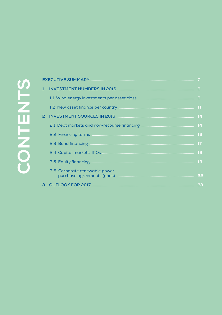# CONTENTS

| $\mathbf{1}$   |                                                                                                                      |    |
|----------------|----------------------------------------------------------------------------------------------------------------------|----|
|                |                                                                                                                      |    |
|                |                                                                                                                      |    |
|                | INVESTMENT SOURCES IN 2016 <b>Manual Manual Community 14</b>                                                         |    |
|                |                                                                                                                      |    |
|                |                                                                                                                      |    |
|                |                                                                                                                      | 17 |
|                |                                                                                                                      |    |
|                |                                                                                                                      |    |
|                | 2.6 Corporate renewable power                                                                                        |    |
| 3 <sup>1</sup> | <b>OUTLOOK FOR 2017 23 AU 23 AU 24 AU 24 AU 24 AU 24 AU 24 AU 24 AU 24 AU 24 AU 24 AU 24 AU 24 AU 24 AU 24 AU 25</b> |    |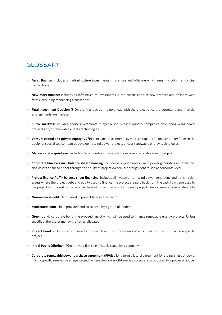## **GLOSSARY**

- **Asset finance:** includes all infrastructure investments in onshore and offshore wind farms, including refinancing transactions.
- **New asset finance:** includes all infrastructure investments in the construction of new onshore and offshore wind farms, excluding refinancing transactions.
- **Final Investment Decision (FID):** the final decision to go ahead with the project once the permitting and financial arrangements are in place.
- **Public markets:** includes equity investments in specialised publicly quoted companies developing wind power projects and/or renewable energy technologies.
- **Venture capital and private equity (VC/PE):** includes investments by venture capital and private equity funds in the equity of specialised companies developing wind power projects and/or renewable energy technologies.
- **Mergers and acquisitions:** includes the acquisition of interest in onshore and offshore wind projects.
- **Corporate finance / on balance sheet financing:** includes all investments in wind power generating and transmission assets financed either through the equity of project owners or through debt raised at corporate level.
- **Project finance / off balance sheet financing:** includes all investments in wind power generating and transmission assets where the project debt and equity used to finance the project are paid back from the cash flow generated by the project as opposed to the balance sheet of project owners. To this end, projects are a spin-of as a separate entity.
- **Non-recourse debt:** debt raised in project finance transactions.
- **Syndicated loan:** a loan provided and structured by a group of lenders.
- **Green bond:** corporate bond, the proceedings of which will be used to finance renewable energy projects. Unless specified, the use of money is often unallocated.
- **Project bond:** includes bonds issued at project level, the proceedings of which will be used to finance a specific project.
- **Initial Public Offering (IPO):** the very first sale of stock issued by a company.
- **Corporate renewable power purchase agreement (PPA):** a long term bilateral agreement for the purchase of power from a specific renewable energy project, where the power off-taker is a corporate as opposed to a power producer.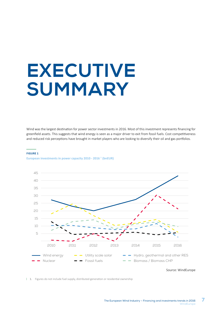# **EXECUTIVE SUMMARY**

Wind was the largest destination for power sector investments in 2016. Most of this investment represents financing for greenfield assets. This suggests that wind energy is seen as a major driver to exit from fossil fuels. Cost competitiveness and reduced risk perceptions have brought in market players who are looking to diversify their oil and gas portfolios.

#### **FIGURE 1**

**European investments in power capacity 2010 - 2016 1 (bnEUR)**



Source: WindEurope

1. Figures do not include fuel supply, distributed generation or residential ownership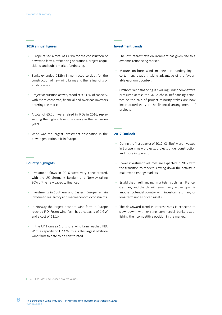#### **2016 annual figures**

- Europe raised a total of €43bn for the construction of new wind farms, refinancing operations, project acquisitions, and public market fundraising.
- Banks extended €12bn in non-recourse debt for the construction of new wind farms and the refinancing of existing ones.
- Project acquisition activity stood at 9.8 GW of capacity, with more corporate, financial and overseas investors entering the market.
- A total of €5.2bn were raised in IPOs in 2016, representing the highest level of issuance in the last seven years.
- Wind was the largest investment destination in the power generation mix in Europe.

#### **Country highlights**

- Investment flows in 2016 were very concentrated, with the UK, Germany, Belgium and Norway taking 80% of the new capacity financed.
- Investments in Southern and Eastern Europe remain low due to regulatory and macroeconomic constraints.
- In Norway the largest onshore wind farm in Europe reached FID. Fosen wind farm has a capacity of 1 GW and a cost of €1.1bn.
- In the UK Hornsea 1 offshore wind farm reached FID. With a capacity of 1.2 GW, this is the largest offshore wind farm to date to be constructed.

#### **Investment trends**

- The low interest rate environment has given rise to a dynamic refinancing market.
- Mature onshore wind markets are undergoing a certain aggregation, taking advantage of the favourable economic context.
- Offshore wind financing is evolving under competitive pressures across the value chain. Refinancing activities or the sale of project minority stakes are now incorporated early in the financial arrangements of projects.

#### **2017 Outlook**

- During the first quarter of 2017, €1.8bn2 were invested in Europe in new projects, projects under construction and those in operation.
- Lower investment volumes are expected in 2017 with the transition to tenders slowing down the activity in major wind energy markets.
- Established refinancing markets such as France, Germany and the UK will remain very active. Spain is another potential country, with investors returning for long-term under-priced assets.
- The downward trend in interest rates is expected to slow down, with existing commercial banks establishing their competitive position in the market.

2. Excludes undisclosed project values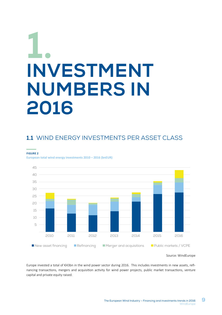# **1. INVESTMENT NUMBERS IN 2016**

# 1.1 WIND ENFRGY INVESTMENTS PFR ASSET CLASS

**FIGURE 2** 

**European total wind energy investments 2010 – 2016 (bnEUR)**



Source: WindEurope

Europe invested a total of €43bn in the wind power sector during 2016. This includes investments in new assets, refinancing transactions, mergers and acquisition activity for wind power projects, public market transactions, venture capital and private equity raised.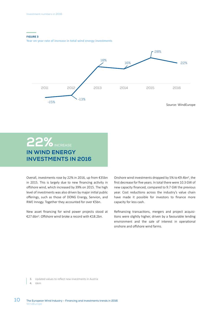#### **FIGURE 3**

**Year on year rate of increase in total wind energy investments**



# 22% INCREASE **IN WIND ENERGY INVESTMENTS IN 2016**

Overall, investments rose by 22% in 2016, up from €35bn in 2015. This is largely due to new financing activity in offshore wind, which increased by 39% on 2015. The high level of investments was also driven by major initial public offerings, such as those of DONG Energy, Senvion, and RWE Innogy. Together they accounted for over €5bn.

New asset financing for wind power projects stood at €27.6bn3 . Offshore wind broke a record with €18.2bn.

Onshore wind investments dropped by 5% to €9.4bn<sup>4</sup>, the first decrease for five years. In total there were 10.3 GW of new capacity financed, compared to 9.7 GW the previous year. Cost reductions across the industry's value chain have made it possible for investors to finance more capacity for less cash.

Refinancing transactions, mergers and project acquisitions were slightly higher, driven by a favourable lending environment and the sale of interest in operational onshore and offshore wind farms.

- 3. Updated values to reflect new investments in Austria
- 4. Idem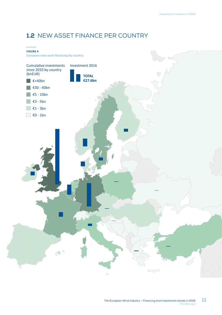# **1.2** NEW ASSET FINANCE PER COUNTRY

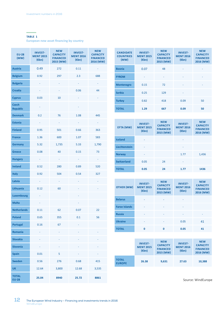#### **TABLE 1**

**European new asset financing by country**

| <b>EU-28</b><br>(MW)            | <b>INVEST-</b><br><b>MENT 2015</b><br>$(\epsilon$ bn) | <b>NEW</b><br><b>CAPACITY</b><br><b>FINANCED</b><br>2015 (MW) | <b>INVEST-</b><br><b>MENT 2016</b><br>$(\epsilon$ bn) | <b>NEW</b><br><b>CAPACITY</b><br><b>FINANCED</b><br>2016 (MW) |
|---------------------------------|-------------------------------------------------------|---------------------------------------------------------------|-------------------------------------------------------|---------------------------------------------------------------|
| <b>Austria</b>                  | 0.49                                                  | 272                                                           | 0.11                                                  |                                                               |
| <b>Belgium</b>                  | 0.92                                                  | 297                                                           | 2.3                                                   | 688                                                           |
| <b>Bulgaria</b>                 |                                                       |                                                               |                                                       |                                                               |
| <b>Croatia</b>                  |                                                       |                                                               | 0.06                                                  | 44                                                            |
| <b>Cyprus</b>                   | 0.03                                                  | 10                                                            |                                                       |                                                               |
| <b>Czech</b><br><b>Republic</b> | ۳                                                     |                                                               | ÷                                                     |                                                               |
| <b>Denmark</b>                  | 0.2                                                   | 76                                                            | 1.08                                                  | 445                                                           |
| <b>Estonia</b>                  |                                                       |                                                               |                                                       |                                                               |
| <b>Finland</b>                  | 0.95                                                  | 501                                                           | 0.66                                                  | 363                                                           |
| <b>France</b>                   | 1.36                                                  | 600                                                           | 1.07                                                  | 583                                                           |
| <b>Germany</b>                  | 5.32                                                  | 1,735                                                         | 5.33                                                  | 1,790                                                         |
| <b>Greece</b>                   | 0.08                                                  | 40                                                            | 0.15                                                  | 73                                                            |
| <b>Hungary</b>                  | ۰                                                     | ۳                                                             | ÷                                                     | ۳                                                             |
| <b>Ireland</b>                  | 0.52                                                  | 280                                                           | 0.89                                                  | 520                                                           |
| Italy                           | 0.92                                                  | 504                                                           | 0.54                                                  | 327                                                           |
| Latvia                          |                                                       |                                                               |                                                       |                                                               |
| Lithuania                       | 0.12                                                  | 60                                                            |                                                       |                                                               |
| <b>Luxembourg</b>               |                                                       |                                                               |                                                       |                                                               |
| <b>Malta</b>                    |                                                       |                                                               |                                                       |                                                               |
| <b>Netherlands</b>              | 0.11                                                  | 62                                                            | 0.07                                                  | 22                                                            |
| <b>Poland</b>                   | 0.65                                                  | 355                                                           | 0.1                                                   | 56                                                            |
| <b>Portugal</b>                 | 0.16                                                  | 67                                                            |                                                       |                                                               |
| <b>Romania</b>                  |                                                       |                                                               |                                                       |                                                               |
| <b>Slovakia</b>                 |                                                       |                                                               |                                                       |                                                               |
| <b>Slovenia</b>                 |                                                       |                                                               |                                                       |                                                               |
| <b>Spain</b>                    | 0.01                                                  | 5                                                             |                                                       |                                                               |
| <b>Sweden</b>                   | 0.56                                                  | 276                                                           | 0.68                                                  | 415                                                           |
| <b>UK</b>                       | 12.64                                                 | 3,800                                                         | 12.68                                                 | 3,535                                                         |
| <b>TOTAL</b><br><b>EU-28</b>    | 25.04                                                 | 8940                                                          | 25.72                                                 | 8861                                                          |

| <b>CANDIDATE</b><br><b>COUNTRIES</b><br>(MW) | <b>INVEST-</b><br><b>MENT 2015</b><br>$(\epsilon$ bn) | <b>NEW</b><br><b>CAPACITY</b><br><b>FINANCED</b><br>2015 (MW) | <b>INVEST-</b><br><b>MENT 2016</b><br>$(\epsilon$ bn) | <b>NEW</b><br><b>CAPACITY</b><br><b>FINANCED</b><br>2016 (MW) |
|----------------------------------------------|-------------------------------------------------------|---------------------------------------------------------------|-------------------------------------------------------|---------------------------------------------------------------|
| <b>Bosnia</b>                                | 0.07                                                  | 48                                                            | ٠                                                     |                                                               |
| <b>FYROM</b>                                 | ۰                                                     | ٠                                                             | ٠                                                     | ٠                                                             |
| <b>Montenegro</b>                            | 0.15                                                  | 72                                                            | ۰                                                     |                                                               |
| <b>Serbia</b>                                | 0.25                                                  | 129                                                           | ٠                                                     |                                                               |
| <b>Turkey</b>                                | 0.82                                                  | 418                                                           | 0.09                                                  | 50                                                            |
| <b>TOTAL</b>                                 | 1.29                                                  | 667                                                           | 0.09                                                  | 50                                                            |

| EFTA (MW)          | <b>INVEST-</b><br><b>MENT 2015</b><br>$(\epsilon$ bn) | <b>NEW</b><br><b>CAPACITY</b><br><b>FINANCED</b><br>2015 (MW) | <b>INVEST-</b><br><b>MENT 2016</b><br>$(\epsilon$ bn) | <b>NEW</b><br><b>CAPACITY</b><br><b>FINANCED</b><br>2016 (MW) |
|--------------------|-------------------------------------------------------|---------------------------------------------------------------|-------------------------------------------------------|---------------------------------------------------------------|
| <b>Iceland</b>     | -                                                     |                                                               | ٠                                                     |                                                               |
| Liechtenstein      | ٠                                                     |                                                               | ٠                                                     |                                                               |
| <b>Norway</b>      | ٠                                                     |                                                               | 1.77                                                  | 1,436                                                         |
| <b>Switzerland</b> | 0.05                                                  | 24                                                            | ٠                                                     |                                                               |
| <b>TOTAL</b>       | 0.05                                                  | 24                                                            | 1.77                                                  | 1436                                                          |

| <b>OTHER (MW)</b>    | <b>INVEST-</b><br><b>MENT 2015</b><br>$(\epsilon$ bn) | <b>NEW</b><br><b>CAPACITY</b><br><b>FINANCED</b><br>2015 (MW) | <b>INVEST-</b><br><b>MENT 2016</b><br>$(\epsilon$ bn) | <b>NEW</b><br><b>CAPACITY</b><br><b>FINANCED</b><br>2016 (MW) |
|----------------------|-------------------------------------------------------|---------------------------------------------------------------|-------------------------------------------------------|---------------------------------------------------------------|
| <b>Belarus</b>       | -                                                     |                                                               | ٠                                                     |                                                               |
| <b>Faroe Islands</b> |                                                       |                                                               |                                                       |                                                               |
| <b>Russia</b>        |                                                       |                                                               |                                                       |                                                               |
| <b>Ukraine</b>       | ۰                                                     | ٠                                                             | 0.05                                                  | 41                                                            |
| <b>TOTAL</b>         | O                                                     | $\Omega$                                                      | 0.05                                                  | 41                                                            |

|                               | <b>INVEST-</b><br><b>MENT 2015</b><br>$(\epsilon$ bn) | <b>NEW</b><br><b>CAPACITY</b><br><b>FINANCED</b><br>2015 (MW) | <b>INVEST-</b><br><b>MENT 2016</b><br>$(\epsilon$ bn) | <b>NEW</b><br><b>CAPACITY</b><br><b>FINANCED</b><br>2016 (MW) |
|-------------------------------|-------------------------------------------------------|---------------------------------------------------------------|-------------------------------------------------------|---------------------------------------------------------------|
| <b>TOTAL</b><br><b>EUROPE</b> | 26.38                                                 | 9,631                                                         | 27.63                                                 | 10.388                                                        |

Source: WindEurope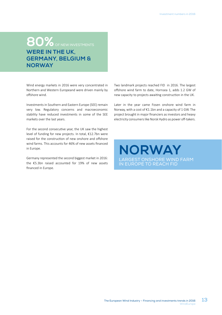# **80%** OF NEW INVESTMENTS **WERE IN THE UK, GERMANY, BELGIUM & NORWAY**

Wind energy markets in 2016 were very concentrated in Northern and Western Europeand were driven mainly by offshore wind.

Investments in Southern and Eastern Europe (SEE) remain very low. Regulatory concerns and macroeconomic stability have reduced investments in some of the SEE markets over the last years.

For the second consecutive year, the UK saw the highest level of funding for new projects. In total, €12.7bn were raised for the construction of new onshore and offshore wind farms. This accounts for 46% of new assets financed in Europe.

Germany represented the second biggest market in 2016: the €5.3bn raised accounted for 19% of new assets financed in Europe.

Two landmark projects reached FID in 2016. The largest offshore wind farm to date, Hornsea 1, adds 1.2 GW of new capacity to projects awaiting construction in the UK.

Later in the year came Fosen onshore wind farm in Norway, with a cost of €1.1bn and a capacity of 1 GW. The project brought in major financiers as investors and heavy electricity consumers like Norsk Hydro as power off-takers.

# **NORWAY** LARGEST ONSHORE WIND FARM IN EUROPE TO REACH FID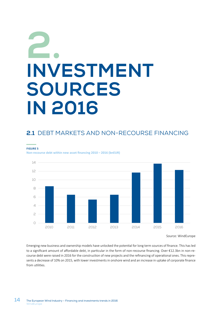# **INVESTMENT SOURCES IN 2016 2.**

# **2.1** DEBT MARKETS AND NON-RECOURSE FINANCING

#### **FIGURE 5**

**Non-recourse debt within new asset financing 2010 – 2016 (bnEUR)**



Source: WindEurope

Emerging new business and ownership models have unlocked the potential for long term sources of finance. This has led to a significant amount of affordable debt, in particular in the form of non-recourse financing. Over €12.3bn in non-recourse debt were raised in 2016 for the construction of new projects and the refinancing of operational ones. This represents a decrease of 10% on 2015, with lower investments in onshore wind and an increase in uptake of corporate finance from utilities.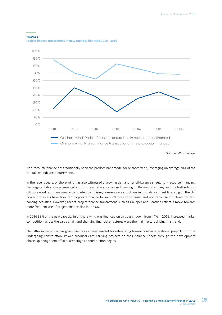

**Project finance transactions in new capacity financed 2010 - 2016**



Source: WindEurope

Non-recourse finance has traditionally been the predominant model for onshore wind, leveraging on average 70% of the capital expenditure requirements.

In the recent years, offshore wind has also witnessed a growing demand for off-balance sheet, non-recourse financing. Two segmentations have emerged in offshore wind non-recourse financing. In Belgium, Germany and the Netherlands, offshore wind farms are usually completed by utilising non-recourse structures in off-balance sheet financing. In the UK, power producers have favoured corporate finance for new offshore wind farms and non-recourse structures for refinancing activities. However, recent project finance transactions such as Galloper and Beatrice reflect a move towards more frequent use of project finance also in the UK.

In 2016 33% of the new capacity in offshore wind was financed on this basis, down from 44% in 2015. Increased market competition across the value chain and changing financial structures were the main factors driving this trend.

The latter in particular has given rise to a dynamic market for refinancing transactions in operational projects or those undergoing construction. Power producers are carrying projects on their balance sheets through the development phase, spinning them off at a later stage as construction begins.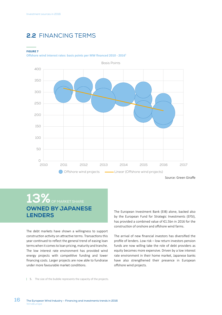# **2.2** FINANCING TERMS

#### **FIGURE 7**

**Offshore wind interest rates: basis points per MW financed 2010 - 20165**



# 13% OF MARKET SHARE **OWNED BY JAPANESE LENDERS**

The debt markets have shown a willingness to support construction activity on attractive terms. Transactions this year continued to reflect the general trend of easing loan terms when it comes to loan pricing, maturity and tranche. The low interest rate environment has provided wind energy projects with competitive funding and lower financing costs. Larger projects are now able to fundraise under more favourable market conditions.

The European Investment Bank (EIB) alone, backed also by the European Fund for Strategic Investments (EFSI), has provided a combined value of €1.5bn in 2016 for the construction of onshore and offshore wind farms.

The arrival of new financial investors has diversified the profile of lenders. Low risk – low return investors pension funds are now willing take the role of debt providers as equity becomes more expensive. Driven by a low interest rate environment in their home market, Japanese banks have also strengthened their presence in European offshore wind projects.

5. The size of the bubble represents the capacity of the projects.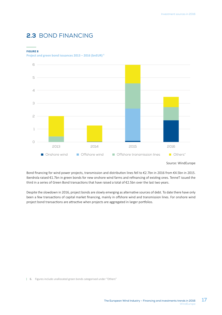## **2.3** BOND FINANCING

#### **FIGURE 8**

**Project and green bond issuances 2013 – 2016 (bnEUR) 6**



Source: WindEurope

Bond financing for wind power projects, transmission and distribution lines fell to €2.7bn in 2016 from €4.5bn in 2015. Iberdrola raised €1.7bn in green bonds for new onshore wind farms and refinancing of existing ones. TenneT issued the third in a series of Green Bond transactions that have raised a total of €2.5bn over the last two years.

Despite the slowdown in 2016, project bonds are slowly emerging as alternative sources of debt. To date there have only been a few transactions of capital market financing, mainly in offshore wind and transmission lines. For onshore wind project bond transactions are attractive when projects are aggregated in larger portfolios.

6. Figures include unallocated green bonds categorised under "Others"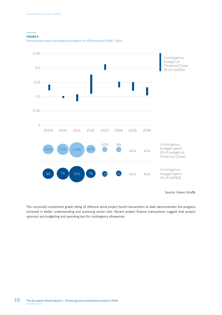#### **FIGURE 9**

**Planned and spent contingency budgets in offshore wind 2009 - 2016**



Source: Green Giraffe

The successful investment grade rating of offshore wind project bond transactions to date demonstrates the progress achieved in better understanding and assessing sector risks. Recent project finance transactions suggest that project sponsors are budgeting and spending less for contingency allowances.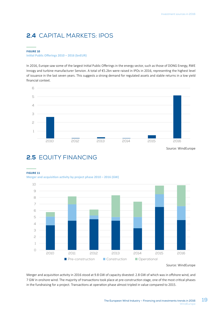# **2.4** CAPITAL MARKETS: IPOS

#### **FIGURE 10 Initial Public Offerings 2010 – 2016 (bnEUR)**

In 2016, Europe saw some of the largest Initial Public Offerings in the energy sector, such as those of DONG Energy, RWE Innogy and turbine manufacturer Senvion. A total of €5.2bn were raised in IPOs in 2016, representing the highest level of issuance in the last seven years. This suggests a strong demand for regulated assets and stable returns in a low yield financial context.



Source: WindEurope

### **2.5** EQUITY FINANCING

#### **FIGURE 11**

**Merger and acquisition activity by project phase 2010 – 2016 (GW)**



Source: WindEurope

Merger and acquisition activity in 2016 stood at 9.8 GW of capacity divested: 2.8 GW of which was in offshore wind, and 7 GW in onshore wind. The majority of transactions took place at pre-construction stage, one of the most critical phases in the fundraising for a project. Transactions at operation phase almost tripled in value compared to 2015.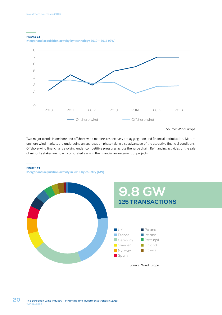#### **FIGURE 12**





Source: WindEurope

Two major trends in onshore and offshore wind markets respectively are aggregation and financial optimisation. Mature onshore wind markets are undergoing an aggregation phase taking also advantage of the attractive financial conditions. Offshore wind financing is evolving under competitive pressures across the value chain. Refinancing activities or the sale of minority stakes are now incorporated early in the financial arrangement of projects.

#### **FIGURE 13**

**Merger and acquisition activity in 2016 by country (GW)**

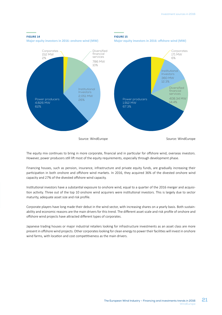

The equity mix continues to bring in more corporate, financial and in particular for offshore wind, overseas investors. However, power producers still lift most of the equity requirements, especially through development phase.

Financing houses, such as pension, insurance, infrastructure and private equity funds, are gradually increasing their participation in both onshore and offshore wind markets. In 2016, they acquired 36% of the divested onshore wind capacity and 27% of the divested offshore wind capacity.

Institutional investors have a substantial exposure to onshore wind, equal to a quarter of the 2016 merger and acquisition activity. Three out of the top 10 onshore wind acquirers were institutional investors. This is largely due to sector maturity, adequate asset size and risk profile.

Corporate players have long made their debut in the wind sector, with increasing shares on a yearly basis. Both sustainability and economic reasons are the main drivers for this trend. The different asset scale and risk profile of onshore and offshore wind projects have attracted different types of corporates.

Japanese trading houses or major industrial retailers looking for infrastructure investments as an asset class are more present in offshore wind projects. Other corporates looking for clean energy to power their facilities will invest in onshore wind farms, with location and cost competitiveness as the main drivers.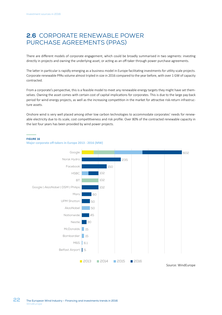## **2.6** CORPORATE RENEWABLE POWER PURCHASE AGREEMENTS (PPAS)

There are different models of corporate engagement, which could be broadly summarised in two segments: investing directly in projects and owning the underlying asset, or acting as an off-taker through power purchase agreements.

The latter in particular is rapidly emerging as a business model in Europe facilitating investments for utility scale projects. Corporate renewable PPAs volume almost tripled in size in 2016 compared to the year before, with over 1 GW of capacity contracted.

From a corporate's perspective, this is a feasible model to meet any renewable energy targets they might have set themselves. Owning the asset comes with certain cost of capital implications for corporates. This is due to the large pay-back period for wind energy projects, as well as the increasing competition in the market for attractive risk-return infrastructure assets.

Onshore wind is very well placed among other low carbon technologies to accommodate corporates' needs for renewable electricity due to its scale, cost competitiveness and risk profile. Over 80% of the contracted renewable capacity in the last four years has been provided by wind power projects.

#### **FIGURE 16**



**Major corporate off-takers in Europe 2013 - 2016 (MW)**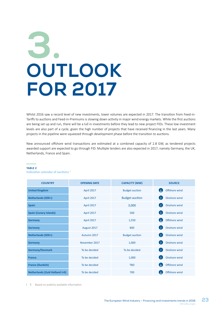# **OUTLOOK FOR 2017 3.**

Whilst 2016 saw a record level of new investments, lower volumes are expected in 2017. The transition from Feed-in-Tariffs to auctions and Feed-in-Premiums is slowing down activity in major wind energy markets. While the first auctions are being set up and run, there will be a lull in investments before they lead to new project FIDs. These low investment levels are also part of a cycle, given the high number of projects that have received financing in the last years. Many projects in the pipeline were squeezed through development phase before the transition to auctions.

New announced offshore wind transactions are estimated at a combined capacity of 2.8 GW, as tendered projects awarded support are expected to go through FID. Multiple tenders are also expected in 2017, namely Germany, the UK, Netherlands, France and Spain.

#### **TABLE 2**

**Indicative calendar of auctions 7**

| <b>COUNTRY</b>                         | <b>OPENING DATE</b> | <b>CAPACITY (MW)</b>  | <b>SOURCE</b>                 |
|----------------------------------------|---------------------|-----------------------|-------------------------------|
| <b>United Kingdom</b>                  | April 2017          | <b>Budget auction</b> | Offshore wind<br>GRI          |
| <b>Netherlands (SDE+)</b>              | April 2017          | <b>Budget auction</b> | Onshore wind                  |
| <b>Spain</b>                           | April 2017          | 3,000                 | Onshore wind                  |
| <b>Spain (Canary Islands)</b>          | April 2017          | 500                   | $\rightarrow$<br>Onshore wind |
| <b>Germany</b>                         | April 2017          | 1,550                 | $\Delta$<br>Offshore wind     |
| <b>Germany</b>                         | August 2017         | 800                   | Onshore wind<br>$\Delta$      |
| <b>Netherlands (SDE+)</b>              | Autumn 2017         | <b>Budget auction</b> | Onshore wind<br>Œ             |
| <b>Germany</b>                         | November 2017       | 1,000                 | Onshore wind<br>$\uparrow$    |
| <b>Germany/Denmark</b>                 | To be decided       | To be decided         | Onshore wind                  |
| <b>France</b>                          | To be decided       | 1,000                 | Onshore wind                  |
| <b>France (Dunkirk)</b>                | To be decided       | <b>TBD</b>            | Offshore wind<br>$\Delta$     |
| <b>Netherlands (Zuid Holland I+II)</b> | To be decided       | 700                   | Offshore wind                 |

| 7. Based on publicly available information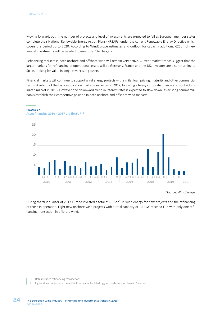Moving forward, both the number of projects and level of investments are expected to fall as European member states complete their National Renewable Energy Action Plans (NREAPs) under the current Renewable Energy Directive which covers the period up to 2020. According to WindEurope estimates and outlook for capacity additions, €25bn of new annual investments will be needed to meet the 2020 targets.

Refinancing markets in both onshore and offshore wind will remain very active. Current market trends suggest that the larger markets for refinancing of operational assets will be Germany, France and the UK. Investors are also returning to Spain, looking for value in long-term existing assets.

Financial markets will continue to support wind energy projects with similar loan pricing, maturity and other commercial terms. A reboot of the bank syndication market is expected in 2017, following a heavy corporate finance and utility-dominated market in 2016. However, the downward trend in interest rates is expected to slow down, as existing commercial banks establish their competitive position in both onshore and offshore wind markets.



#### **FIGURE 17**

#### **Asset financing 2010 – 2017 ytd (bnEUR) 8**

#### Source: WindEurope

During the first quarter of 2017 Europe invested a total of €1.8bn<sup>9</sup> in wind energy for new projects and the refinancing of those in operation. Eight new onshore wind projects with a total capacity of 1.1 GW reached FID, with only one refinancing transaction in offshore wind.

- 8. Data includes refinancing transactions
- 9. Figure does not include the undisclosed value for Markbygden onshore wind farm in Sweden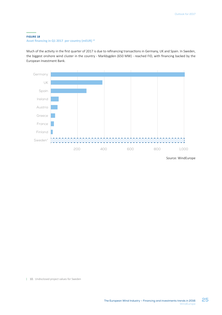#### **FIGURE 18 Asset financing in Q1 2017 per country (mEUR) 10**

Much of the activity in the first quarter of 2017 is due to refinancing transactions in Germany, UK and Spain. In Sweden, the biggest onshore wind cluster in the country - Markbygden (650 MW) - reached FID, with financing backed by the European Investment Bank.



Source: WindEurope

| 10. Undisclosed project values for Sweden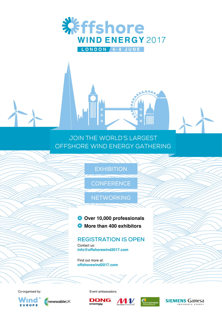

JOIN THE WORLD'S LARGEST OFFSHORE WIND ENERGY GATHERING

 $\overline{\mathbf{u}}$ 

## **EXHIBITION**

**CONFERENCE** 

**NETWORKING** 

 **Over 10,000 professionals ※ More than 400 exhibitors** 

Contact us: **info@offshorewind2017.com REGISTRATION IS OPEN**

Find out more at: **offshorewind2017.com**



renewableUK

Co-organised by: Event ambassadors: